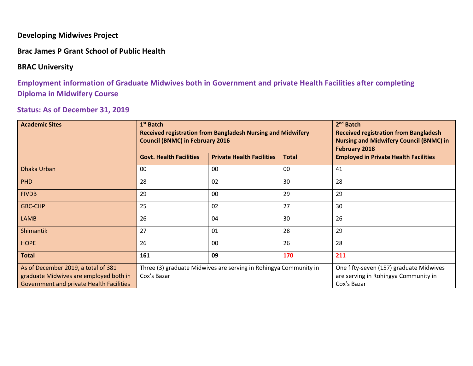#### **Developing Midwives Project**

**Brac James P Grant School of Public Health**

#### **BRAC University**

**Employment information of Graduate Midwives both in Government and private Health Facilities after completing Diploma in Midwifery Course**

### **Status: As of December 31, 2019**

| <b>Academic Sites</b>                                                                                                            | 1 <sup>st</sup> Batch<br><b>Council (BNMC) in February 2016</b> | <b>Received registration from Bangladesh Nursing and Midwifery</b> | $2nd$ Batch<br><b>Received registration from Bangladesh</b><br><b>Nursing and Midwifery Council (BNMC) in</b><br><b>February 2018</b> |                                              |  |
|----------------------------------------------------------------------------------------------------------------------------------|-----------------------------------------------------------------|--------------------------------------------------------------------|---------------------------------------------------------------------------------------------------------------------------------------|----------------------------------------------|--|
|                                                                                                                                  | <b>Govt. Health Facilities</b>                                  | <b>Private Health Facilities</b>                                   | <b>Total</b>                                                                                                                          | <b>Employed in Private Health Facilities</b> |  |
| Dhaka Urban                                                                                                                      | 00                                                              | 00                                                                 | 00                                                                                                                                    | 41                                           |  |
| <b>PHD</b>                                                                                                                       | 28                                                              | 02                                                                 | 30                                                                                                                                    | 28                                           |  |
| <b>FIVDB</b>                                                                                                                     | 29                                                              | 00                                                                 | 29                                                                                                                                    | 29                                           |  |
| <b>GBC-CHP</b>                                                                                                                   | 25                                                              | 02                                                                 | 27                                                                                                                                    | 30                                           |  |
| <b>LAMB</b>                                                                                                                      | 26                                                              | 04                                                                 | 30                                                                                                                                    | 26                                           |  |
| Shimantik                                                                                                                        | 27                                                              | 01                                                                 | 28                                                                                                                                    | 29                                           |  |
| <b>HOPE</b>                                                                                                                      | 26                                                              | 00                                                                 | 26                                                                                                                                    | 28                                           |  |
| <b>Total</b>                                                                                                                     | 161                                                             | 09                                                                 | 170                                                                                                                                   | 211                                          |  |
| As of December 2019, a total of 381<br>graduate Midwives are employed both in<br><b>Government and private Health Facilities</b> | Cox's Bazar                                                     | Three (3) graduate Midwives are serving in Rohingya Community in   | One fifty-seven (157) graduate Midwives<br>are serving in Rohingya Community in<br>Cox's Bazar                                        |                                              |  |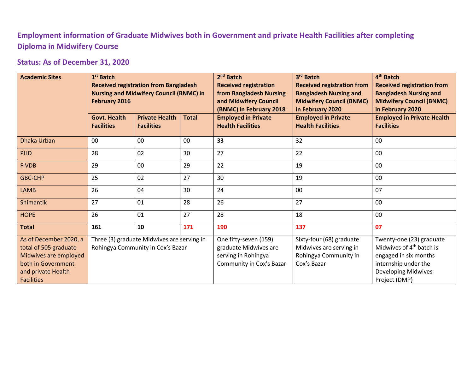# **Employment information of Graduate Midwives both in Government and private Health Facilities after completing Diploma in Midwifery Course**

## **Status: As of December 31, 2020**

| <b>Academic Sites</b>                                                                                                                     | $1st$ Batch<br><b>Received registration from Bangladesh</b><br><b>Nursing and Midwifery Council (BNMC) in</b><br>February 2016 |                                            |              | 2 <sup>nd</sup> Batch<br><b>Received registration</b><br>from Bangladesh Nursing<br>and Midwifery Council<br>(BNMC) in February 2018 | 3rd Batch<br><b>Received registration from</b><br><b>Bangladesh Nursing and</b><br><b>Midwifery Council (BNMC)</b><br>in February 2020 | 4 <sup>th</sup> Batch<br><b>Received registration from</b><br><b>Bangladesh Nursing and</b><br><b>Midwifery Council (BNMC)</b><br>in February 2020               |  |
|-------------------------------------------------------------------------------------------------------------------------------------------|--------------------------------------------------------------------------------------------------------------------------------|--------------------------------------------|--------------|--------------------------------------------------------------------------------------------------------------------------------------|----------------------------------------------------------------------------------------------------------------------------------------|------------------------------------------------------------------------------------------------------------------------------------------------------------------|--|
|                                                                                                                                           | <b>Govt. Health</b><br><b>Facilities</b>                                                                                       | <b>Private Health</b><br><b>Facilities</b> | <b>Total</b> | <b>Employed in Private</b><br><b>Health Facilities</b>                                                                               | <b>Employed in Private</b><br><b>Health Facilities</b>                                                                                 | <b>Employed in Private Health</b><br><b>Facilities</b>                                                                                                           |  |
| Dhaka Urban                                                                                                                               | 00                                                                                                                             | 00                                         | 00           | 33                                                                                                                                   | 32                                                                                                                                     | 00                                                                                                                                                               |  |
| PHD                                                                                                                                       | 02<br>28<br>30                                                                                                                 |                                            |              | 27                                                                                                                                   | 22                                                                                                                                     | 00                                                                                                                                                               |  |
| <b>FIVDB</b>                                                                                                                              | 29                                                                                                                             | 00                                         | 29           | 22                                                                                                                                   | 19                                                                                                                                     | 00                                                                                                                                                               |  |
| <b>GBC-CHP</b>                                                                                                                            | 25                                                                                                                             | 02                                         | 27           | 30                                                                                                                                   | 19                                                                                                                                     | 00                                                                                                                                                               |  |
| <b>LAMB</b>                                                                                                                               | 26                                                                                                                             | 04                                         | 30           | 24                                                                                                                                   | 00                                                                                                                                     | 07                                                                                                                                                               |  |
| Shimantik                                                                                                                                 | 27                                                                                                                             | 01                                         | 28           | 26                                                                                                                                   | 27                                                                                                                                     | 00                                                                                                                                                               |  |
| <b>HOPE</b>                                                                                                                               | 26                                                                                                                             | 01                                         | 27           | 28                                                                                                                                   | 18                                                                                                                                     | 00                                                                                                                                                               |  |
| <b>Total</b>                                                                                                                              | 161                                                                                                                            | 10                                         | 171          | 190                                                                                                                                  | 137                                                                                                                                    | 07                                                                                                                                                               |  |
| As of December 2020, a<br>total of 505 graduate<br>Midwives are employed<br>both in Government<br>and private Health<br><b>Facilities</b> | Three (3) graduate Midwives are serving in<br>Rohingya Community in Cox's Bazar                                                |                                            |              | One fifty-seven (159)<br>graduate Midwives are<br>serving in Rohingya<br>Community in Cox's Bazar                                    | Sixty-four (68) graduate<br>Midwives are serving in<br>Rohingya Community in<br>Cox's Bazar                                            | Twenty-one (23) graduate<br>Midwives of 4 <sup>th</sup> batch is<br>engaged in six months<br>internship under the<br><b>Developing Midwives</b><br>Project (DMP) |  |